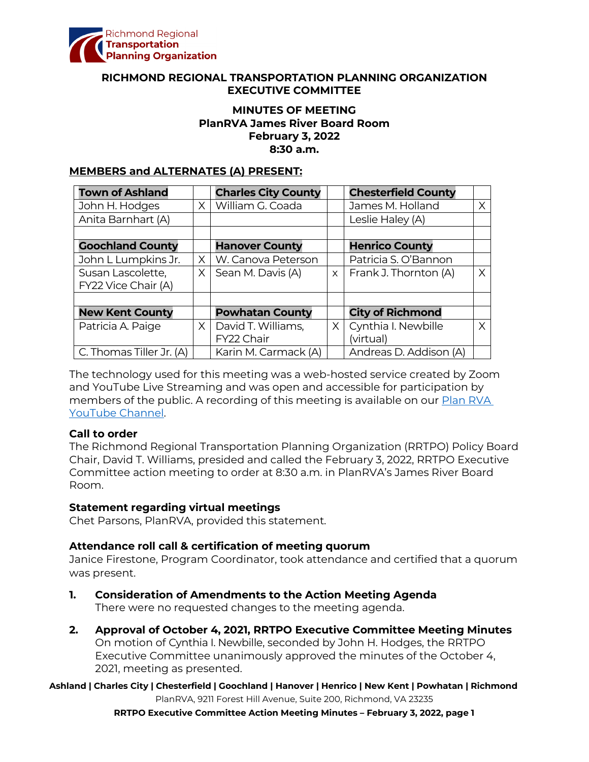

#### **RICHMOND REGIONAL TRANSPORTATION PLANNING ORGANIZATION EXECUTIVE COMMITTEE**

# **MINUTES OF MEETING PlanRVA James River Board Room February 3, 2022 8:30 a.m.**

## **MEMBERS and ALTERNATES (A) PRESENT:**

| <b>Town of Ashland</b>   |          | <b>Charles City County</b> |          | <b>Chesterfield County</b>  |    |
|--------------------------|----------|----------------------------|----------|-----------------------------|----|
| John H. Hodges           | $\times$ | William G. Coada           |          | James M. Holland            | X. |
| Anita Barnhart (A)       |          |                            |          | Leslie Haley (A)            |    |
|                          |          |                            |          |                             |    |
| <b>Goochland County</b>  |          | <b>Hanover County</b>      |          | <b>Henrico County</b>       |    |
| John L Lumpkins Jr.      | $\times$ | W. Canova Peterson         |          | Patricia S. O'Bannon        |    |
| Susan Lascolette,        | X.       | Sean M. Davis (A)          |          | $x$   Frank J. Thornton (A) | X  |
| FY22 Vice Chair (A)      |          |                            |          |                             |    |
|                          |          |                            |          |                             |    |
| <b>New Kent County</b>   |          | <b>Powhatan County</b>     |          | <b>City of Richmond</b>     |    |
| Patricia A. Paige        | $\times$ | David T. Williams,         | $\times$ | Cynthia I. Newbille         | X. |
|                          |          | FY22 Chair                 |          | (virtual)                   |    |
| C. Thomas Tiller Jr. (A) |          | Karin M. Carmack (A)       |          | Andreas D. Addison (A)      |    |

The technology used for this meeting was a web-hosted service created by Zoom and YouTube Live Streaming and was open and accessible for participation by members of the public. A recording of this meeting is available on our [Plan RVA](https://www.youtube.com/watch?v=z0QZVILjyig)  [YouTube Channel.](https://www.youtube.com/watch?v=z0QZVILjyig)

## **Call to order**

The Richmond Regional Transportation Planning Organization (RRTPO) Policy Board Chair, David T. Williams, presided and called the February 3, 2022, RRTPO Executive Committee action meeting to order at 8:30 a.m. in PlanRVA's James River Board Room.

## **Statement regarding virtual meetings**

Chet Parsons, PlanRVA, provided this statement.

## **Attendance roll call & certification of meeting quorum**

Janice Firestone, Program Coordinator, took attendance and certified that a quorum was present.

- **1. Consideration of Amendments to the Action Meeting Agenda** There were no requested changes to the meeting agenda.
- **2. Approval of October 4, 2021, RRTPO Executive Committee Meeting Minutes** On motion of Cynthia I. Newbille, seconded by John H. Hodges, the RRTPO Executive Committee unanimously approved the minutes of the October 4, 2021, meeting as presented.

**Ashland | Charles City | Chesterfield | Goochland | Hanover | Henrico | New Kent | Powhatan | Richmond** PlanRVA, 9211 Forest Hill Avenue, Suite 200, Richmond, VA 23235

**RRTPO Executive Committee Action Meeting Minutes – February 3, 2022, page 1**